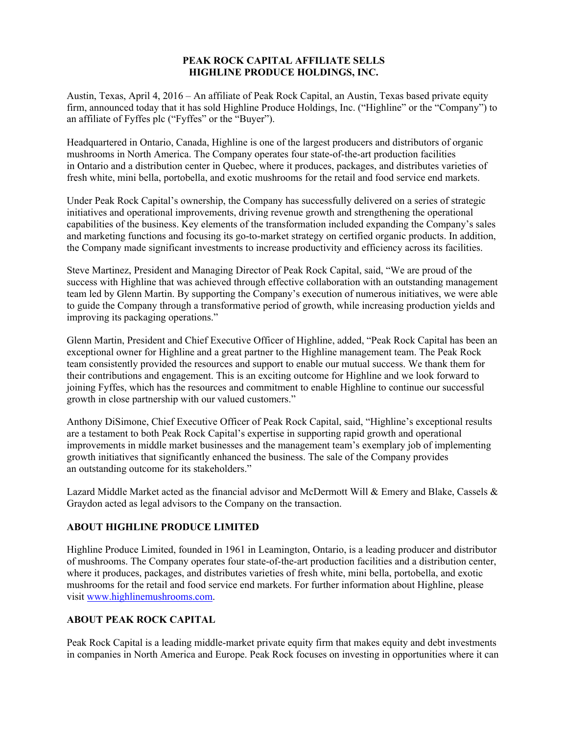## **PEAK ROCK CAPITAL AFFILIATE SELLS HIGHLINE PRODUCE HOLDINGS, INC.**

Austin, Texas, April 4, 2016 – An affiliate of Peak Rock Capital, an Austin, Texas based private equity firm, announced today that it has sold Highline Produce Holdings, Inc. ("Highline" or the "Company") to an affiliate of Fyffes plc ("Fyffes" or the "Buyer").

Headquartered in Ontario, Canada, Highline is one of the largest producers and distributors of organic mushrooms in North America. The Company operates four state-of-the-art production facilities in Ontario and a distribution center in Quebec, where it produces, packages, and distributes varieties of fresh white, mini bella, portobella, and exotic mushrooms for the retail and food service end markets.

Under Peak Rock Capital's ownership, the Company has successfully delivered on a series of strategic initiatives and operational improvements, driving revenue growth and strengthening the operational capabilities of the business. Key elements of the transformation included expanding the Company's sales and marketing functions and focusing its go-to-market strategy on certified organic products. In addition, the Company made significant investments to increase productivity and efficiency across its facilities.

Steve Martinez, President and Managing Director of Peak Rock Capital, said, "We are proud of the success with Highline that was achieved through effective collaboration with an outstanding management team led by Glenn Martin. By supporting the Company's execution of numerous initiatives, we were able to guide the Company through a transformative period of growth, while increasing production yields and improving its packaging operations."

Glenn Martin, President and Chief Executive Officer of Highline, added, "Peak Rock Capital has been an exceptional owner for Highline and a great partner to the Highline management team. The Peak Rock team consistently provided the resources and support to enable our mutual success. We thank them for their contributions and engagement. This is an exciting outcome for Highline and we look forward to joining Fyffes, which has the resources and commitment to enable Highline to continue our successful growth in close partnership with our valued customers."

Anthony DiSimone, Chief Executive Officer of Peak Rock Capital, said, "Highline's exceptional results are a testament to both Peak Rock Capital's expertise in supporting rapid growth and operational improvements in middle market businesses and the management team's exemplary job of implementing growth initiatives that significantly enhanced the business. The sale of the Company provides an outstanding outcome for its stakeholders."

Lazard Middle Market acted as the financial advisor and McDermott Will & Emery and Blake, Cassels & Graydon acted as legal advisors to the Company on the transaction.

## **ABOUT HIGHLINE PRODUCE LIMITED**

Highline Produce Limited, founded in 1961 in Leamington, Ontario, is a leading producer and distributor of mushrooms. The Company operates four state-of-the-art production facilities and a distribution center, where it produces, packages, and distributes varieties of fresh white, mini bella, portobella, and exotic mushrooms for the retail and food service end markets. For further information about Highline, please visit www.highlinemushrooms.com.

## **ABOUT PEAK ROCK CAPITAL**

Peak Rock Capital is a leading middle-market private equity firm that makes equity and debt investments in companies in North America and Europe. Peak Rock focuses on investing in opportunities where it can